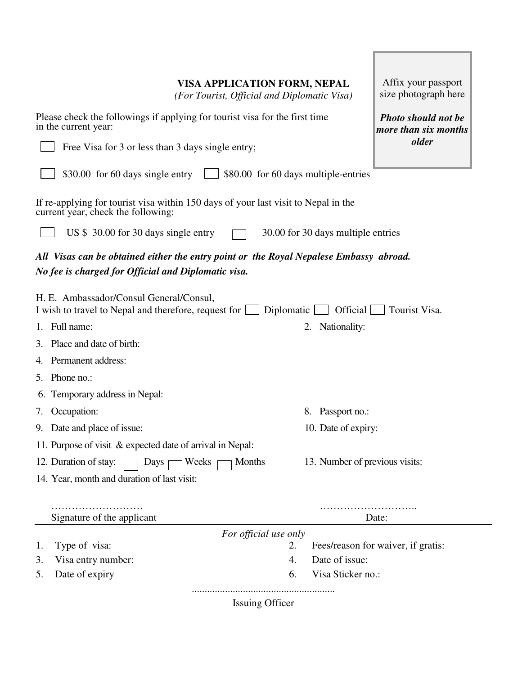|  | VISA APPLICATION FORM, NEPAL |  |  |  |
|--|------------------------------|--|--|--|
|--|------------------------------|--|--|--|

*(For Tourist, Official and Diplomatic Visa)* 

| Please check the followings if applying for tourist visa for the first time<br>in the current year:<br>Free Visa for 3 or less than 3 days single entry; | <b>Photo should not be</b><br>more than six months<br><i>older</i> |  |  |  |  |
|----------------------------------------------------------------------------------------------------------------------------------------------------------|--------------------------------------------------------------------|--|--|--|--|
| \$30.00 for 60 days single entry<br>\$80.00 for 60 days multiple-entries                                                                                 |                                                                    |  |  |  |  |
| If re-applying for tourist visa within 150 days of your last visit to Nepal in the<br>current year, check the following:                                 |                                                                    |  |  |  |  |
| US \$ 30.00 for 30 days single entry<br>30.00 for 30 days multiple entries                                                                               |                                                                    |  |  |  |  |
| All Visas can be obtained either the entry point or the Royal Nepalese Embassy abroad.<br>No fee is charged for Official and Diplomatic visa.            |                                                                    |  |  |  |  |
| H. E. Ambassador/Consul General/Consul,<br>Official<br>I wish to travel to Nepal and therefore, request for [<br>Tourist Visa.<br>Diplomatic             |                                                                    |  |  |  |  |
| Full name:<br>2. Nationality:                                                                                                                            |                                                                    |  |  |  |  |
| Place and date of birth:<br>3.                                                                                                                           |                                                                    |  |  |  |  |
| Permanent address:<br>4.                                                                                                                                 |                                                                    |  |  |  |  |
| Phone no.:<br>5.                                                                                                                                         |                                                                    |  |  |  |  |
| Temporary address in Nepal:<br>6.                                                                                                                        |                                                                    |  |  |  |  |
| Occupation:<br>8. Passport no.:<br>7.                                                                                                                    |                                                                    |  |  |  |  |
| Date and place of issue:<br>10. Date of expiry:<br>9.                                                                                                    |                                                                    |  |  |  |  |
| 11. Purpose of visit & expected date of arrival in Nepal:                                                                                                |                                                                    |  |  |  |  |
| 13. Number of previous visits:<br>12. Duration of stay:<br>Days $\lceil$<br>Weeks<br>Months                                                              |                                                                    |  |  |  |  |
| 14. Year, month and duration of last visit:                                                                                                              |                                                                    |  |  |  |  |
| Signature of the applicant                                                                                                                               | Date:                                                              |  |  |  |  |
| For official use only<br>Fees/reason for waiver, if gratis:                                                                                              |                                                                    |  |  |  |  |
| Type of visa:<br>2.<br>1.<br>Date of issue:<br>Visa entry number:<br>4.<br>3.                                                                            |                                                                    |  |  |  |  |
| Visa Sticker no.:<br>Date of expiry<br>6.<br>5.                                                                                                          |                                                                    |  |  |  |  |
| <b>Issuing Officer</b>                                                                                                                                   |                                                                    |  |  |  |  |

Affix your passport size photograph here